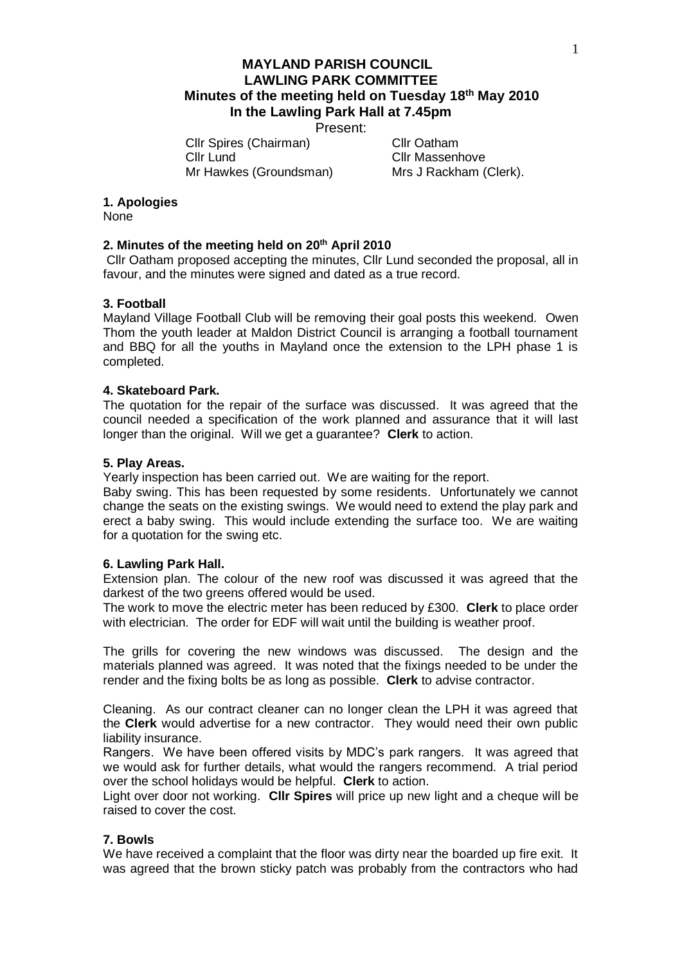Present:

Cllr Spires (Chairman) Cllr Oatham Cllr Lund Cllr Massenhove Mr Hawkes (Groundsman) Mrs J Rackham (Clerk).

#### **1. Apologies**

None

### **2. Minutes of the meeting held on 20th April 2010**

Cllr Oatham proposed accepting the minutes, Cllr Lund seconded the proposal, all in favour, and the minutes were signed and dated as a true record.

### **3. Football**

Mayland Village Football Club will be removing their goal posts this weekend. Owen Thom the youth leader at Maldon District Council is arranging a football tournament and BBQ for all the youths in Mayland once the extension to the LPH phase 1 is completed.

#### **4. Skateboard Park.**

The quotation for the repair of the surface was discussed. It was agreed that the council needed a specification of the work planned and assurance that it will last longer than the original. Will we get a guarantee? **Clerk** to action.

#### **5. Play Areas.**

Yearly inspection has been carried out. We are waiting for the report.

Baby swing. This has been requested by some residents. Unfortunately we cannot change the seats on the existing swings. We would need to extend the play park and erect a baby swing. This would include extending the surface too. We are waiting for a quotation for the swing etc.

#### **6. Lawling Park Hall.**

Extension plan. The colour of the new roof was discussed it was agreed that the darkest of the two greens offered would be used.

The work to move the electric meter has been reduced by £300. **Clerk** to place order with electrician. The order for EDF will wait until the building is weather proof.

The grills for covering the new windows was discussed. The design and the materials planned was agreed. It was noted that the fixings needed to be under the render and the fixing bolts be as long as possible. **Clerk** to advise contractor.

Cleaning. As our contract cleaner can no longer clean the LPH it was agreed that the **Clerk** would advertise for a new contractor. They would need their own public liability insurance.

Rangers. We have been offered visits by MDC's park rangers. It was agreed that we would ask for further details, what would the rangers recommend. A trial period over the school holidays would be helpful. **Clerk** to action.

Light over door not working. **Cllr Spires** will price up new light and a cheque will be raised to cover the cost.

#### **7. Bowls**

We have received a complaint that the floor was dirty near the boarded up fire exit. It was agreed that the brown sticky patch was probably from the contractors who had